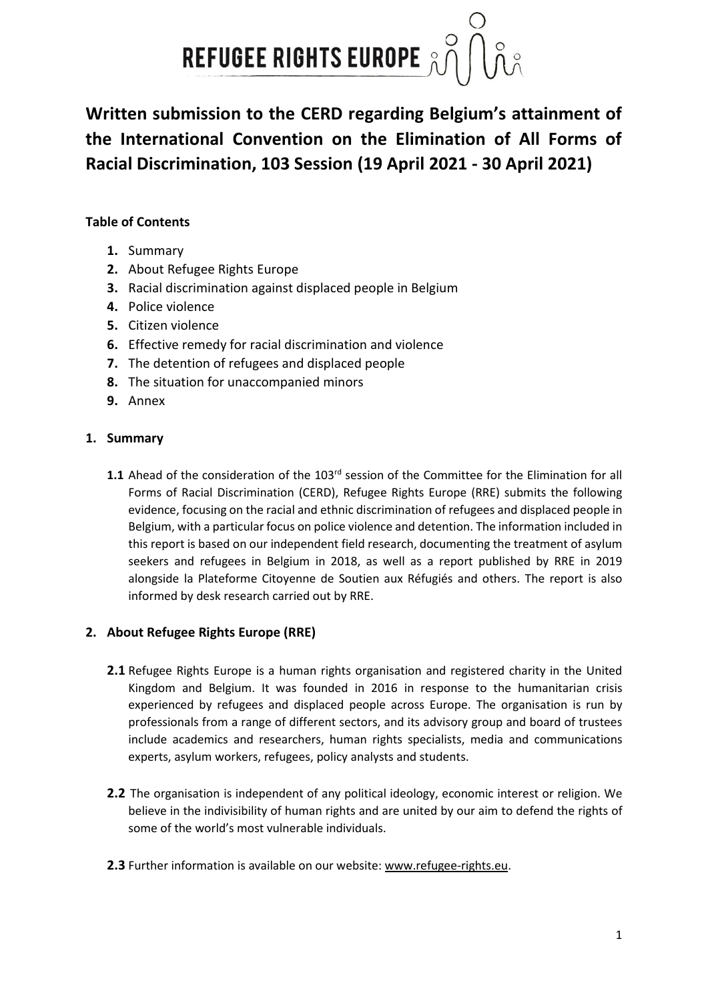

**Written submission to the CERD regarding Belgium's attainment of the International Convention on the Elimination of All Forms of Racial Discrimination, 103 Session (19 April 2021 - 30 April 2021)**

# **Table of Contents**

- **1.** Summary
- **2.** About Refugee Rights Europe
- **3.** Racial discrimination against displaced people in Belgium
- **4.** Police violence
- **5.** Citizen violence
- **6.** Effective remedy for racial discrimination and violence
- **7.** The detention of refugees and displaced people
- **8.** The situation for unaccompanied minors
- **9.** Annex

## **1. Summary**

1.1 Ahead of the consideration of the 103<sup>rd</sup> session of the Committee for the Elimination for all Forms of Racial Discrimination (CERD), Refugee Rights Europe (RRE) submits the following evidence, focusing on the racial and ethnic discrimination of refugees and displaced people in Belgium, with a particular focus on police violence and detention. The information included in this report is based on our independent field research, documenting the treatment of asylum seekers and refugees in Belgium in 2018, as well as a report published by RRE in 2019 alongside la Plateforme Citoyenne de Soutien aux Réfugiés and others. The report is also informed by desk research carried out by RRE.

## **2. About Refugee Rights Europe (RRE)**

- **2.1** Refugee Rights Europe is a human rights organisation and registered charity in the United Kingdom and Belgium. It was founded in 2016 in response to the humanitarian crisis experienced by refugees and displaced people across Europe. The organisation is run by professionals from a range of different sectors, and its advisory group and board of trustees include academics and researchers, human rights specialists, media and communications experts, asylum workers, refugees, policy analysts and students.
- **2.2** The organisation is independent of any political ideology, economic interest or religion. We believe in the indivisibility of human rights and are united by our aim to defend the rights of some of the world's most vulnerable individuals.
- **2.3** Further information is available on our website: [www.refugee-rights.eu.](https://emea01.safelinks.protection.outlook.com/?url=http%3A%2F%2Fwww.refugee-rights.eu%2F&data=04%7C01%7C%7Cc4f1efc899be45214e7508d8e9ecad0f%7C84df9e7fe9f640afb435aaaaaaaaaaaa%7C1%7C0%7C637516550008806971%7CUnknown%7CTWFpbGZsb3d8eyJWIjoiMC4wLjAwMDAiLCJQIjoiV2luMzIiLCJBTiI6Ik1haWwiLCJXVCI6Mn0%3D%7C1000&sdata=sXly4wXMj04rZNIoVTYqFezGRUsTyhlcu0aG3hprpIY%3D&reserved=0)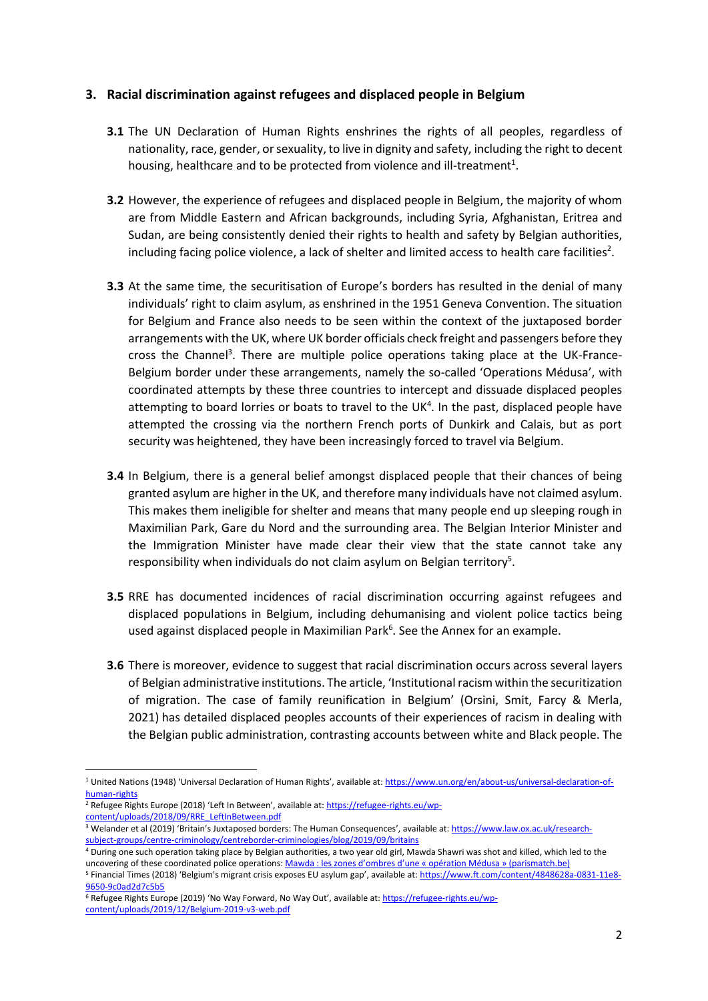### **3. Racial discrimination against refugees and displaced people in Belgium**

- **3.1** The UN Declaration of Human Rights enshrines the rights of all peoples, regardless of nationality, race, gender, or sexuality, to live in dignity and safety, including the right to decent housing, healthcare and to be protected from violence and ill-treatment<sup>1</sup>.
- **3.2** However, the experience of refugees and displaced people in Belgium, the majority of whom are from Middle Eastern and African backgrounds, including Syria, Afghanistan, Eritrea and Sudan, are being consistently denied their rights to health and safety by Belgian authorities, including facing police violence, a lack of shelter and limited access to health care facilities<sup>2</sup>.
- **3.3** At the same time, the securitisation of Europe's borders has resulted in the denial of many individuals' right to claim asylum, as enshrined in the 1951 Geneva Convention. The situation for Belgium and France also needs to be seen within the context of the juxtaposed border arrangements with the UK, where UK border officials check freight and passengers before they cross the Channel<sup>3</sup>. There are multiple police operations taking place at the UK-France-Belgium border under these arrangements, namely the so-called 'Operations Médusa', with coordinated attempts by these three countries to intercept and dissuade displaced peoples attempting to board lorries or boats to travel to the UK<sup>4</sup>. In the past, displaced people have attempted the crossing via the northern French ports of Dunkirk and Calais, but as port security was heightened, they have been increasingly forced to travel via Belgium.
- **3.4** In Belgium, there is a general belief amongst displaced people that their chances of being granted asylum are higher in the UK, and therefore many individuals have not claimed asylum. This makes them ineligible for shelter and means that many people end up sleeping rough in Maximilian Park, Gare du Nord and the surrounding area. The Belgian Interior Minister and the Immigration Minister have made clear their view that the state cannot take any responsibility when individuals do not claim asylum on Belgian territory<sup>5</sup>.
- **3.5** RRE has documented incidences of racial discrimination occurring against refugees and displaced populations in Belgium, including dehumanising and violent police tactics being used against displaced people in Maximilian Park<sup>6</sup>. See the Annex for an example.
- **3.6** There is moreover, evidence to suggest that racial discrimination occurs across several layers of Belgian administrative institutions. The article, 'Institutional racism within the securitization of migration. The case of family reunification in Belgium' (Orsini, Smit, Farcy & Merla, 2021) has detailed displaced peoples accounts of their experiences of racism in dealing with the Belgian public administration, contrasting accounts between white and Black people. The

<sup>&</sup>lt;sup>1</sup> United Nations (1948) 'Universal Declaration of Human Rights', available at: [https://www.un.org/en/about-us/universal-declaration-of](https://www.un.org/en/about-us/universal-declaration-of-human-rights)[human-rights](https://www.un.org/en/about-us/universal-declaration-of-human-rights)

<sup>&</sup>lt;sup>2</sup> Refugee Rights Europe (2018) 'Left In Between', available at: [https://refugee-rights.eu/wp](https://refugee-rights.eu/wp-content/uploads/2018/09/RRE_LeftInBetween.pdf)[content/uploads/2018/09/RRE\\_LeftInBetween.pdf](https://refugee-rights.eu/wp-content/uploads/2018/09/RRE_LeftInBetween.pdf)

<sup>&</sup>lt;sup>3</sup> Welander et al (2019) 'Britain's Juxtaposed borders: The Human Consequences', available at: [https://www.law.ox.ac.uk/research](https://www.law.ox.ac.uk/research-subject-groups/centre-criminology/centreborder-criminologies/blog/2019/09/britains)[subject-groups/centre-criminology/centreborder-criminologies/blog/2019/09/britains](https://www.law.ox.ac.uk/research-subject-groups/centre-criminology/centreborder-criminologies/blog/2019/09/britains)

<sup>&</sup>lt;sup>4</sup> During one such operation taking place by Belgian authorities, a two year old girl, Mawda Shawri was shot and killed, which led to the uncovering of these coordinated police operations: [Mawda : les zones d'ombres d'une « opération Médusa » \(parismatch.be\)](https://parismatch.be/actualites/societe/218014/mawda-les-zones-dombres-dune-operation-medusa)

<sup>&</sup>lt;sup>5</sup> Financial Times (2018) 'Belgium's migrant crisis exposes EU asylum gap', available at: [https://www.ft.com/content/4848628a-0831-11e8-](https://www.ft.com/content/4848628a-0831-11e8-9650-9c0ad2d7c5b5) [9650-9c0ad2d7c5b5](https://www.ft.com/content/4848628a-0831-11e8-9650-9c0ad2d7c5b5)

<sup>6</sup> Refugee Rights Europe (2019) 'No Way Forward, No Way Out', available at: [https://refugee-rights.eu/wp](https://refugee-rights.eu/wp-content/uploads/2019/12/Belgium-2019-v3-web.pdf)[content/uploads/2019/12/Belgium-2019-v3-web.pdf](https://refugee-rights.eu/wp-content/uploads/2019/12/Belgium-2019-v3-web.pdf)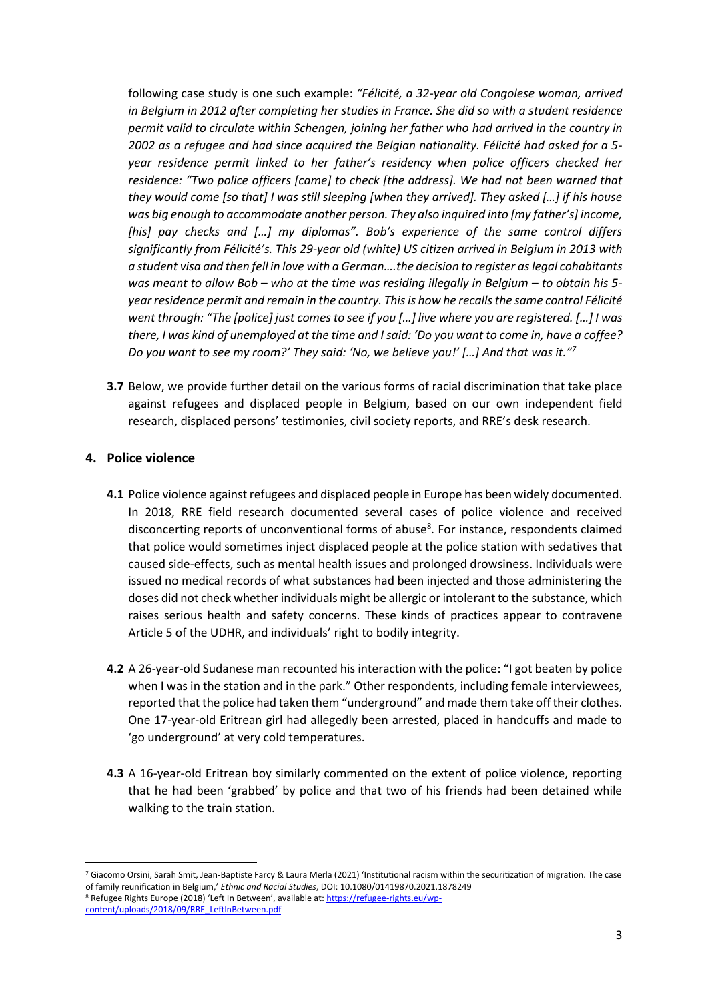following case study is one such example: *"Félicité, a 32-year old Congolese woman, arrived in Belgium in 2012 after completing her studies in France. She did so with a student residence permit valid to circulate within Schengen, joining her father who had arrived in the country in 2002 as a refugee and had since acquired the Belgian nationality. Félicité had asked for a 5 year residence permit linked to her father's residency when police officers checked her residence: "Two police officers [came] to check [the address]. We had not been warned that they would come [so that] I was still sleeping [when they arrived]. They asked […] if his house was big enough to accommodate another person. They also inquired into [my father's] income, [his] pay checks and […] my diplomas". Bob's experience of the same control differs significantly from Félicité's. This 29-year old (white) US citizen arrived in Belgium in 2013 with a student visa and then fell in love with a German….the decision to register as legal cohabitants was meant to allow Bob – who at the time was residing illegally in Belgium – to obtain his 5 year residence permit and remain in the country. This is how he recalls the same control Félicité went through: "The [police] just comes to see if you […] live where you are registered. […] I was there, I was kind of unemployed at the time and I said: 'Do you want to come in, have a coffee? Do you want to see my room?' They said: 'No, we believe you!' […] And that was it."<sup>7</sup>*

**3.7** Below, we provide further detail on the various forms of racial discrimination that take place against refugees and displaced people in Belgium, based on our own independent field research, displaced persons' testimonies, civil society reports, and RRE's desk research.

#### **4. Police violence**

- **4.1** Police violence against refugees and displaced people in Europe has been widely documented. In 2018, RRE field research documented several cases of police violence and received disconcerting reports of unconventional forms of abuse<sup>8</sup>. For instance, respondents claimed that police would sometimes inject displaced people at the police station with sedatives that caused side-effects, such as mental health issues and prolonged drowsiness. Individuals were issued no medical records of what substances had been injected and those administering the doses did not check whether individuals might be allergic or intolerant to the substance, which raises serious health and safety concerns. These kinds of practices appear to contravene Article 5 of the UDHR, and individuals' right to bodily integrity.
- **4.2** A 26-year-old Sudanese man recounted his interaction with the police: "I got beaten by police when I was in the station and in the park." Other respondents, including female interviewees, reported that the police had taken them "underground" and made them take off their clothes. One 17-year-old Eritrean girl had allegedly been arrested, placed in handcuffs and made to 'go underground' at very cold temperatures.
- **4.3** A 16-year-old Eritrean boy similarly commented on the extent of police violence, reporting that he had been 'grabbed' by police and that two of his friends had been detained while walking to the train station.

<sup>7</sup> Giacomo Orsini, Sarah Smit, Jean-Baptiste Farcy & Laura Merla (2021) 'Institutional racism within the securitization of migration. The case of family reunification in Belgium,' *Ethnic and Racial Studies*, DOI: 10.1080/01419870.2021.1878249 <sup>8</sup> Refugee Rights Europe (2018) 'Left In Between', available at: [https://refugee-rights.eu/wp](https://refugee-rights.eu/wp-content/uploads/2018/09/RRE_LeftInBetween.pdf)[content/uploads/2018/09/RRE\\_LeftInBetween.pdf](https://refugee-rights.eu/wp-content/uploads/2018/09/RRE_LeftInBetween.pdf)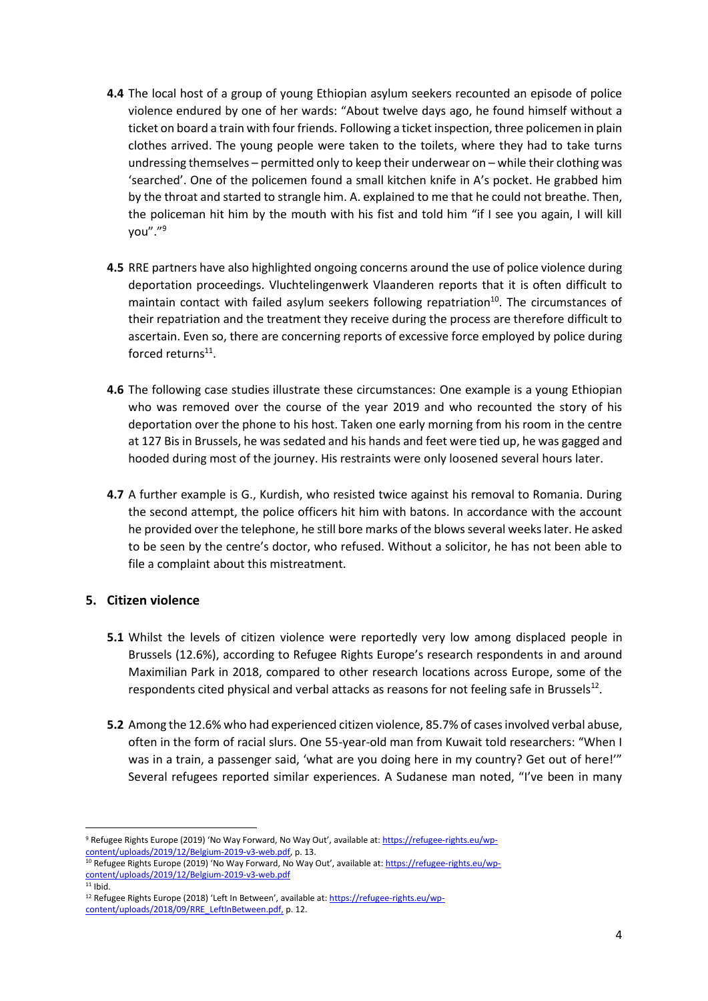- **4.4** The local host of a group of young Ethiopian asylum seekers recounted an episode of police violence endured by one of her wards: "About twelve days ago, he found himself without a ticket on board a train with four friends. Following a ticket inspection, three policemen in plain clothes arrived. The young people were taken to the toilets, where they had to take turns undressing themselves – permitted only to keep their underwear on – while their clothing was 'searched'. One of the policemen found a small kitchen knife in A's pocket. He grabbed him by the throat and started to strangle him. A. explained to me that he could not breathe. Then, the policeman hit him by the mouth with his fist and told him "if I see you again, I will kill you"." 9
- **4.5** RRE partners have also highlighted ongoing concerns around the use of police violence during deportation proceedings. Vluchtelingenwerk Vlaanderen reports that it is often difficult to maintain contact with failed asylum seekers following repatriation<sup>10</sup>. The circumstances of their repatriation and the treatment they receive during the process are therefore difficult to ascertain. Even so, there are concerning reports of excessive force employed by police during forced returns<sup>11</sup>.
- **4.6** The following case studies illustrate these circumstances: One example is a young Ethiopian who was removed over the course of the year 2019 and who recounted the story of his deportation over the phone to his host. Taken one early morning from his room in the centre at 127 Bis in Brussels, he was sedated and his hands and feet were tied up, he was gagged and hooded during most of the journey. His restraints were only loosened several hours later.
- **4.7** A further example is G., Kurdish, who resisted twice against his removal to Romania. During the second attempt, the police officers hit him with batons. In accordance with the account he provided over the telephone, he still bore marks of the blows several weeks later. He asked to be seen by the centre's doctor, who refused. Without a solicitor, he has not been able to file a complaint about this mistreatment.

### **5. Citizen violence**

- **5.1** Whilst the levels of citizen violence were reportedly very low among displaced people in Brussels (12.6%), according to Refugee Rights Europe's research respondents in and around Maximilian Park in 2018, compared to other research locations across Europe, some of the respondents cited physical and verbal attacks as reasons for not feeling safe in Brussels $^{12}$ .
- **5.2** Among the 12.6% who had experienced citizen violence, 85.7% of cases involved verbal abuse, often in the form of racial slurs. One 55-year-old man from Kuwait told researchers: "When I was in a train, a passenger said, 'what are you doing here in my country? Get out of here!'" Several refugees reported similar experiences. A Sudanese man noted, "I've been in many

<sup>9</sup> Refugee Rights Europe (2019) 'No Way Forward, No Way Out', available at: [https://refugee-rights.eu/wp](https://refugee-rights.eu/wp-content/uploads/2019/12/Belgium-2019-v3-web.pdf)[content/uploads/2019/12/Belgium-2019-v3-web.pdf,](https://refugee-rights.eu/wp-content/uploads/2019/12/Belgium-2019-v3-web.pdf) p. 13.

<sup>&</sup>lt;sup>10</sup> Refugee Rights Europe (2019) 'No Way Forward, No Way Out', available at: [https://refugee-rights.eu/wp](https://refugee-rights.eu/wp-content/uploads/2019/12/Belgium-2019-v3-web.pdf)[content/uploads/2019/12/Belgium-2019-v3-web.pdf](https://refugee-rights.eu/wp-content/uploads/2019/12/Belgium-2019-v3-web.pdf)

 $11$  Ibid.

<sup>&</sup>lt;sup>12</sup> Refugee Rights Europe (2018) 'Left In Between', available at: [https://refugee-rights.eu/wp](https://refugee-rights.eu/wp-content/uploads/2018/09/RRE_LeftInBetween.pdf)[content/uploads/2018/09/RRE\\_LeftInBetween.pdf,](https://refugee-rights.eu/wp-content/uploads/2018/09/RRE_LeftInBetween.pdf) p. 12.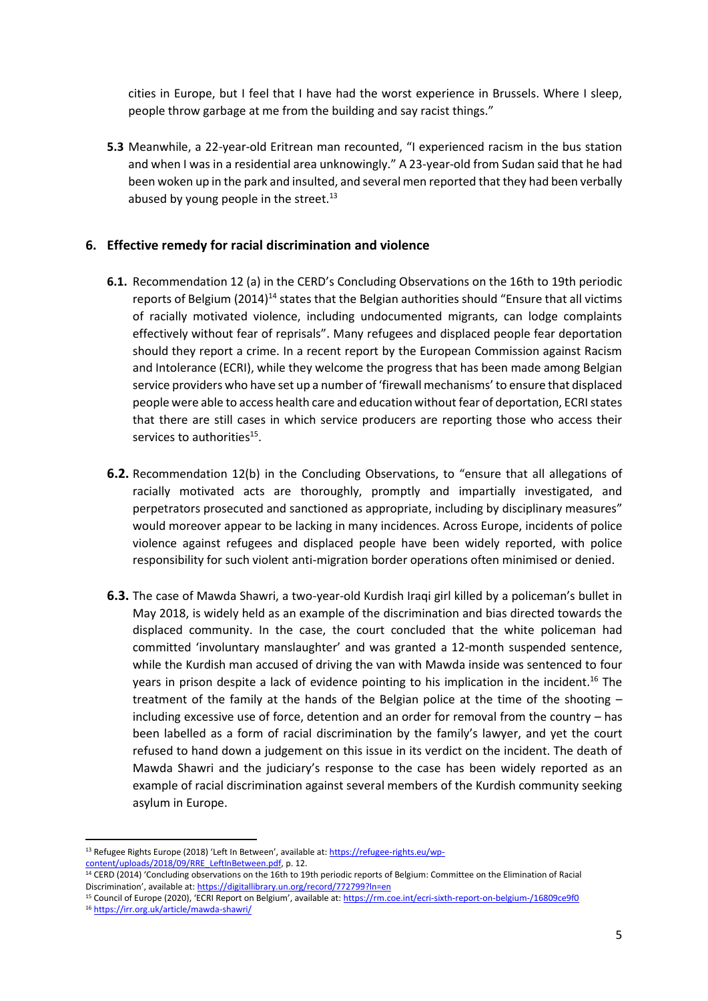cities in Europe, but I feel that I have had the worst experience in Brussels. Where I sleep, people throw garbage at me from the building and say racist things."

**5.3** Meanwhile, a 22-year-old Eritrean man recounted, "I experienced racism in the bus station and when I was in a residential area unknowingly." A 23-year-old from Sudan said that he had been woken up in the park and insulted, and several men reported that they had been verbally abused by young people in the street. $^{13}$ 

## **6. Effective remedy for racial discrimination and violence**

- **6.1.** Recommendation 12 (a) in the CERD's Concluding Observations on the 16th to 19th periodic reports of Belgium (2014)<sup>14</sup> states that the Belgian authorities should "Ensure that all victims of racially motivated violence, including undocumented migrants, can lodge complaints effectively without fear of reprisals". Many refugees and displaced people fear deportation should they report a crime. In a recent report by the European Commission against Racism and Intolerance (ECRI), while they welcome the progress that has been made among Belgian service providers who have set up a number of 'firewall mechanisms' to ensure that displaced people were able to access health care and education without fear of deportation, ECRI states that there are still cases in which service producers are reporting those who access their services to authorities<sup>15</sup>.
- **6.2.** Recommendation 12(b) in the Concluding Observations, to "ensure that all allegations of racially motivated acts are thoroughly, promptly and impartially investigated, and perpetrators prosecuted and sanctioned as appropriate, including by disciplinary measures" would moreover appear to be lacking in many incidences. Across Europe, incidents of police violence against refugees and displaced people have been widely reported, with police responsibility for such violent anti-migration border operations often minimised or denied.
- **6.3.** The case of Mawda Shawri, a two-year-old Kurdish Iraqi girl killed by a policeman's bullet in May 2018, is widely held as an example of the discrimination and bias directed towards the displaced community. In the case, the court concluded that the white policeman had committed 'involuntary manslaughter' and was granted a 12-month suspended sentence, while the Kurdish man accused of driving the van with Mawda inside was sentenced to four years in prison despite a lack of evidence pointing to his implication in the incident.<sup>16</sup> The treatment of the family at the hands of the Belgian police at the time of the shooting – including excessive use of force, detention and an order for removal from the country – has been labelled as a form of racial discrimination by the family's lawyer, and yet the court refused to hand down a judgement on this issue in its verdict on the incident. The death of Mawda Shawri and the judiciary's response to the case has been widely reported as an example of racial discrimination against several members of the Kurdish community seeking asylum in Europe.

<sup>&</sup>lt;sup>13</sup> Refugee Rights Europe (2018) 'Left In Between', available at: [https://refugee-rights.eu/wp](https://refugee-rights.eu/wp-content/uploads/2018/09/RRE_LeftInBetween.pdf)[content/uploads/2018/09/RRE\\_LeftInBetween.pdf,](https://refugee-rights.eu/wp-content/uploads/2018/09/RRE_LeftInBetween.pdf) p. 12.

<sup>&</sup>lt;sup>14</sup> CERD (2014) 'Concluding observations on the 16th to 19th periodic reports of Belgium: Committee on the Elimination of Racial Discrimination', available at: <https://digitallibrary.un.org/record/772799?ln=en>

<sup>15</sup> Council of Europe (2020), 'ECRI Report on Belgium', available at: <https://rm.coe.int/ecri-sixth-report-on-belgium-/16809ce9f0>

<sup>16</sup> <https://irr.org.uk/article/mawda-shawri/>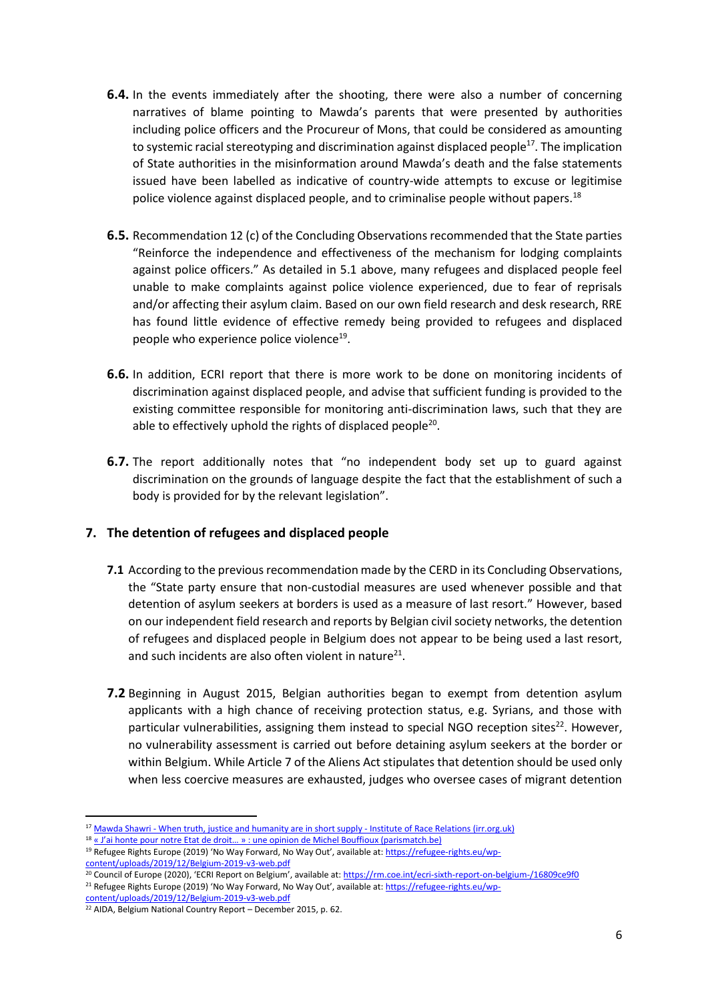- **6.4.** In the events immediately after the shooting, there were also a number of concerning narratives of blame pointing to Mawda's parents that were presented by authorities including police officers and the Procureur of Mons, that could be considered as amounting to systemic racial stereotyping and discrimination against displaced people<sup>17</sup>. The implication of State authorities in the misinformation around Mawda's death and the false statements issued have been labelled as indicative of country-wide attempts to excuse or legitimise police violence against displaced people, and to criminalise people without papers.<sup>18</sup>
- **6.5.** Recommendation 12 (c) of the Concluding Observations recommended that the State parties "Reinforce the independence and effectiveness of the mechanism for lodging complaints against police officers." As detailed in 5.1 above, many refugees and displaced people feel unable to make complaints against police violence experienced, due to fear of reprisals and/or affecting their asylum claim. Based on our own field research and desk research, RRE has found little evidence of effective remedy being provided to refugees and displaced people who experience police violence<sup>19</sup>.
- **6.6.** In addition, ECRI report that there is more work to be done on monitoring incidents of discrimination against displaced people, and advise that sufficient funding is provided to the existing committee responsible for monitoring anti-discrimination laws, such that they are able to effectively uphold the rights of displaced people<sup>20</sup>.
- **6.7.** The report additionally notes that "no independent body set up to guard against discrimination on the grounds of language despite the fact that the establishment of such a body is provided for by the relevant legislation".

### **7. The detention of refugees and displaced people**

- **7.1** According to the previous recommendation made by the CERD in its Concluding Observations, the "State party ensure that non-custodial measures are used whenever possible and that detention of asylum seekers at borders is used as a measure of last resort." However, based on our independent field research and reports by Belgian civil society networks, the detention of refugees and displaced people in Belgium does not appear to be being used a last resort, and such incidents are also often violent in nature<sup>21</sup>.
- **7.2** Beginning in August 2015, Belgian authorities began to exempt from detention asylum applicants with a high chance of receiving protection status, e.g. Syrians, and those with particular vulnerabilities, assigning them instead to special NGO reception sites<sup>22</sup>. However, no vulnerability assessment is carried out before detaining asylum seekers at the border or within Belgium. While Article 7 of the Aliens Act stipulates that detention should be used only when less coercive measures are exhausted, judges who oversee cases of migrant detention

<sup>18</sup> « J'ai honte pour notre Etat de droit... » : une opinion de Michel Bouffioux (parismatch.be)

<sup>&</sup>lt;sup>17</sup> Mawda Shawri - [When truth, justice and humanity are in short supply -](https://irr.org.uk/article/mawda-shawri/) Institute of Race Relations (irr.org.uk)

<sup>&</sup>lt;sup>19</sup> Refugee Rights Europe (2019) 'No Way Forward, No Way Out', available at: [https://refugee-rights.eu/wp](https://refugee-rights.eu/wp-content/uploads/2019/12/Belgium-2019-v3-web.pdf)[content/uploads/2019/12/Belgium-2019-v3-web.pdf](https://refugee-rights.eu/wp-content/uploads/2019/12/Belgium-2019-v3-web.pdf)

<sup>&</sup>lt;sup>20</sup> Council of Europe (2020), 'ECRI Report on Belgium', available at: <https://rm.coe.int/ecri-sixth-report-on-belgium-/16809ce9f0> <sup>21</sup> Refugee Rights Europe (2019) 'No Way Forward, No Way Out', available at: [https://refugee-rights.eu/wp-](https://refugee-rights.eu/wp-content/uploads/2019/12/Belgium-2019-v3-web.pdf)

[content/uploads/2019/12/Belgium-2019-v3-web.pdf](https://refugee-rights.eu/wp-content/uploads/2019/12/Belgium-2019-v3-web.pdf)

 $22$  AIDA, Belgium National Country Report – December 2015, p. 62.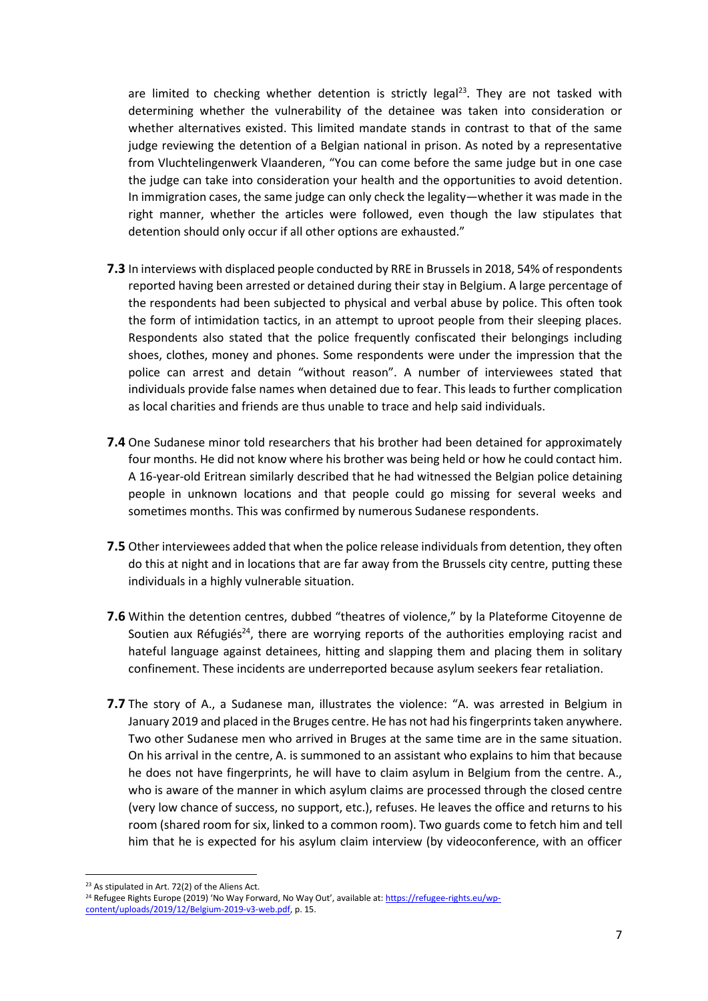are limited to checking whether detention is strictly legal<sup>23</sup>. They are not tasked with determining whether the vulnerability of the detainee was taken into consideration or whether alternatives existed. This limited mandate stands in contrast to that of the same judge reviewing the detention of a Belgian national in prison. As noted by a representative from Vluchtelingenwerk Vlaanderen, "You can come before the same judge but in one case the judge can take into consideration your health and the opportunities to avoid detention. In immigration cases, the same judge can only check the legality—whether it was made in the right manner, whether the articles were followed, even though the law stipulates that detention should only occur if all other options are exhausted."

- **7.3** In interviews with displaced people conducted by RRE in Brussels in 2018, 54% of respondents reported having been arrested or detained during their stay in Belgium. A large percentage of the respondents had been subjected to physical and verbal abuse by police. This often took the form of intimidation tactics, in an attempt to uproot people from their sleeping places. Respondents also stated that the police frequently confiscated their belongings including shoes, clothes, money and phones. Some respondents were under the impression that the police can arrest and detain "without reason". A number of interviewees stated that individuals provide false names when detained due to fear. This leads to further complication as local charities and friends are thus unable to trace and help said individuals.
- **7.4** One Sudanese minor told researchers that his brother had been detained for approximately four months. He did not know where his brother was being held or how he could contact him. A 16-year-old Eritrean similarly described that he had witnessed the Belgian police detaining people in unknown locations and that people could go missing for several weeks and sometimes months. This was confirmed by numerous Sudanese respondents.
- **7.5** Other interviewees added that when the police release individuals from detention, they often do this at night and in locations that are far away from the Brussels city centre, putting these individuals in a highly vulnerable situation.
- **7.6** Within the detention centres, dubbed "theatres of violence," by la Plateforme Citoyenne de Soutien aux Réfugiés<sup>24</sup>, there are worrying reports of the authorities employing racist and hateful language against detainees, hitting and slapping them and placing them in solitary confinement. These incidents are underreported because asylum seekers fear retaliation.
- **7.7** The story of A., a Sudanese man, illustrates the violence: "A. was arrested in Belgium in January 2019 and placed in the Bruges centre. He has not had his fingerprints taken anywhere. Two other Sudanese men who arrived in Bruges at the same time are in the same situation. On his arrival in the centre, A. is summoned to an assistant who explains to him that because he does not have fingerprints, he will have to claim asylum in Belgium from the centre. A., who is aware of the manner in which asylum claims are processed through the closed centre (very low chance of success, no support, etc.), refuses. He leaves the office and returns to his room (shared room for six, linked to a common room). Two guards come to fetch him and tell him that he is expected for his asylum claim interview (by videoconference, with an officer

<sup>23</sup> As stipulated in Art. 72(2) of the Aliens Act.

<sup>&</sup>lt;sup>24</sup> Refugee Rights Europe (2019) 'No Way Forward, No Way Out', available at: [https://refugee-rights.eu/wp](https://refugee-rights.eu/wp-content/uploads/2019/12/Belgium-2019-v3-web.pdf)[content/uploads/2019/12/Belgium-2019-v3-web.pdf,](https://refugee-rights.eu/wp-content/uploads/2019/12/Belgium-2019-v3-web.pdf) p. 15.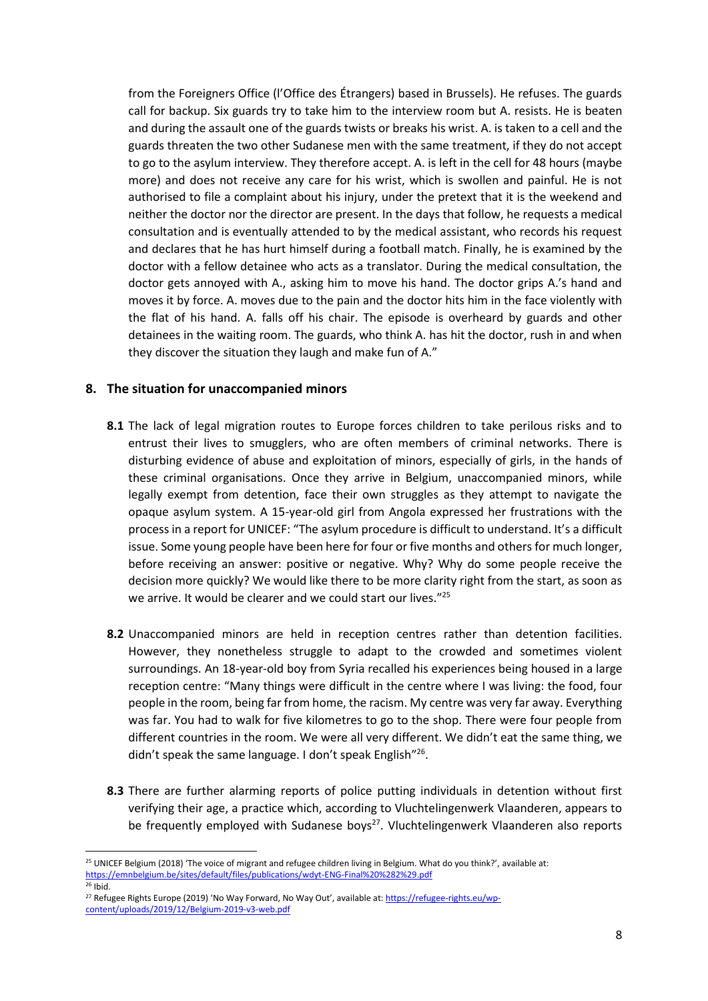from the Foreigners Office (l'Office des Étrangers) based in Brussels). He refuses. The guards call for backup. Six guards try to take him to the interview room but A. resists. He is beaten and during the assault one of the guards twists or breaks his wrist. A. is taken to a cell and the guards threaten the two other Sudanese men with the same treatment, if they do not accept to go to the asylum interview. They therefore accept. A. is left in the cell for 48 hours (maybe more) and does not receive any care for his wrist, which is swollen and painful. He is not authorised to file a complaint about his injury, under the pretext that it is the weekend and neither the doctor nor the director are present. In the days that follow, he requests a medical consultation and is eventually attended to by the medical assistant, who records his request and declares that he has hurt himself during a football match. Finally, he is examined by the doctor with a fellow detainee who acts as a translator. During the medical consultation, the doctor gets annoyed with A., asking him to move his hand. The doctor grips A.'s hand and moves it by force. A. moves due to the pain and the doctor hits him in the face violently with the flat of his hand. A. falls off his chair. The episode is overheard by guards and other detainees in the waiting room. The guards, who think A. has hit the doctor, rush in and when they discover the situation they laugh and make fun of A."

#### **8. The situation for unaccompanied minors**

- **8.1** The lack of legal migration routes to Europe forces children to take perilous risks and to entrust their lives to smugglers, who are often members of criminal networks. There is disturbing evidence of abuse and exploitation of minors, especially of girls, in the hands of these criminal organisations. Once they arrive in Belgium, unaccompanied minors, while legally exempt from detention, face their own struggles as they attempt to navigate the opaque asylum system. A 15-year-old girl from Angola expressed her frustrations with the process in a report for UNICEF: "The asylum procedure is difficult to understand. It's a difficult issue. Some young people have been here for four or five months and others for much longer, before receiving an answer: positive or negative. Why? Why do some people receive the decision more quickly? We would like there to be more clarity right from the start, as soon as we arrive. It would be clearer and we could start our lives."<sup>25</sup>
- **8.2** Unaccompanied minors are held in reception centres rather than detention facilities. However, they nonetheless struggle to adapt to the crowded and sometimes violent surroundings. An 18-year-old boy from Syria recalled his experiences being housed in a large reception centre: "Many things were difficult in the centre where I was living: the food, four people in the room, being far from home, the racism. My centre was very far away. Everything was far. You had to walk for five kilometres to go to the shop. There were four people from different countries in the room. We were all very different. We didn't eat the same thing, we didn't speak the same language. I don't speak English"<sup>26</sup>.
- **8.3** There are further alarming reports of police putting individuals in detention without first verifying their age, a practice which, according to Vluchtelingenwerk Vlaanderen, appears to be frequently employed with Sudanese boys<sup>27</sup>. Vluchtelingenwerk Vlaanderen also reports

<sup>&</sup>lt;sup>25</sup> UNICEF Belgium (2018) 'The voice of migrant and refugee children living in Belgium. What do you think?', available at: <https://emnbelgium.be/sites/default/files/publications/wdyt-ENG-Final%20%282%29.pdf>

 $26$  Ibid.

<sup>&</sup>lt;sup>27</sup> Refugee Rights Europe (2019) 'No Way Forward, No Way Out', available at[: https://refugee-rights.eu/wp](https://refugee-rights.eu/wp-content/uploads/2019/12/Belgium-2019-v3-web.pdf)[content/uploads/2019/12/Belgium-2019-v3-web.pdf](https://refugee-rights.eu/wp-content/uploads/2019/12/Belgium-2019-v3-web.pdf)